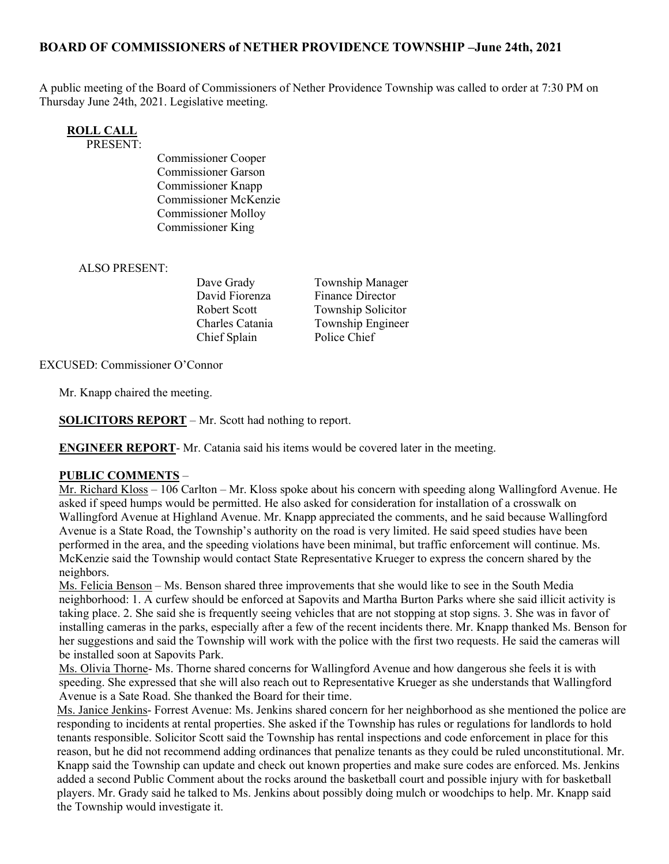#### BOARD OF COMMISSIONERS of NETHER PROVIDENCE TOWNSHIP –June 24th, 2021

A public meeting of the Board of Commissioners of Nether Providence Township was called to order at 7:30 PM on Thursday June 24th, 2021. Legislative meeting.

# ROLL CALL

PRESENT:

Commissioner Cooper Commissioner Garson Commissioner Knapp Commissioner McKenzie Commissioner Molloy Commissioner King

#### ALSO PRESENT:

David Fiorenza Finance Director Chief Splain Police Chief

Dave Grady Township Manager Robert Scott Township Solicitor Charles Catania Township Engineer

EXCUSED: Commissioner O'Connor

Mr. Knapp chaired the meeting.

SOLICITORS REPORT – Mr. Scott had nothing to report.

ENGINEER REPORT- Mr. Catania said his items would be covered later in the meeting.

#### PUBLIC COMMENTS –

Mr. Richard Kloss – 106 Carlton – Mr. Kloss spoke about his concern with speeding along Wallingford Avenue. He asked if speed humps would be permitted. He also asked for consideration for installation of a crosswalk on Wallingford Avenue at Highland Avenue. Mr. Knapp appreciated the comments, and he said because Wallingford Avenue is a State Road, the Township's authority on the road is very limited. He said speed studies have been performed in the area, and the speeding violations have been minimal, but traffic enforcement will continue. Ms. McKenzie said the Township would contact State Representative Krueger to express the concern shared by the neighbors.

Ms. Felicia Benson – Ms. Benson shared three improvements that she would like to see in the South Media neighborhood: 1. A curfew should be enforced at Sapovits and Martha Burton Parks where she said illicit activity is taking place. 2. She said she is frequently seeing vehicles that are not stopping at stop signs. 3. She was in favor of installing cameras in the parks, especially after a few of the recent incidents there. Mr. Knapp thanked Ms. Benson for her suggestions and said the Township will work with the police with the first two requests. He said the cameras will be installed soon at Sapovits Park.

Ms. Olivia Thorne- Ms. Thorne shared concerns for Wallingford Avenue and how dangerous she feels it is with speeding. She expressed that she will also reach out to Representative Krueger as she understands that Wallingford Avenue is a Sate Road. She thanked the Board for their time.

Ms. Janice Jenkins- Forrest Avenue: Ms. Jenkins shared concern for her neighborhood as she mentioned the police are responding to incidents at rental properties. She asked if the Township has rules or regulations for landlords to hold tenants responsible. Solicitor Scott said the Township has rental inspections and code enforcement in place for this reason, but he did not recommend adding ordinances that penalize tenants as they could be ruled unconstitutional. Mr. Knapp said the Township can update and check out known properties and make sure codes are enforced. Ms. Jenkins added a second Public Comment about the rocks around the basketball court and possible injury with for basketball players. Mr. Grady said he talked to Ms. Jenkins about possibly doing mulch or woodchips to help. Mr. Knapp said the Township would investigate it.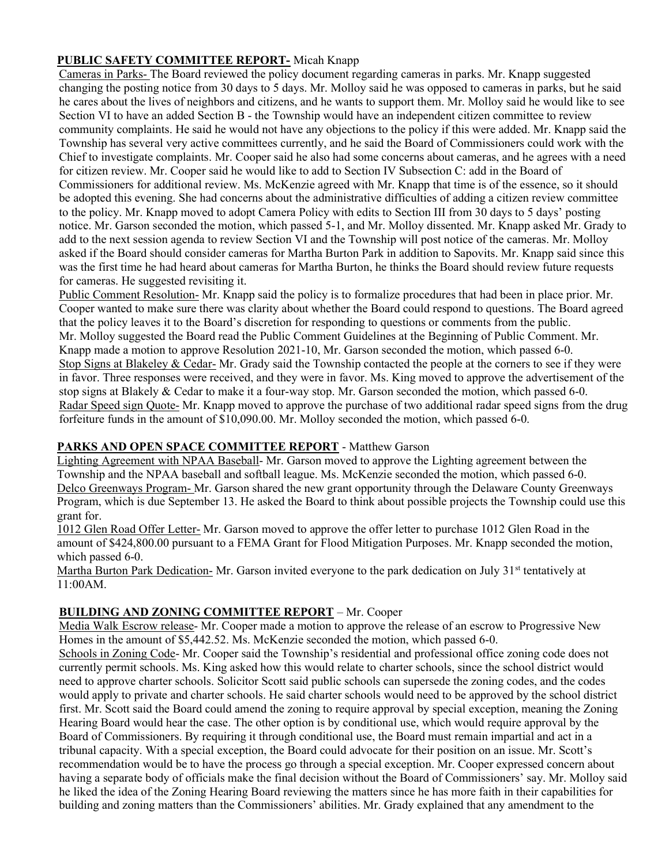#### PUBLIC SAFETY COMMITTEE REPORT- Micah Knapp

Cameras in Parks- The Board reviewed the policy document regarding cameras in parks. Mr. Knapp suggested changing the posting notice from 30 days to 5 days. Mr. Molloy said he was opposed to cameras in parks, but he said he cares about the lives of neighbors and citizens, and he wants to support them. Mr. Molloy said he would like to see Section VI to have an added Section B - the Township would have an independent citizen committee to review community complaints. He said he would not have any objections to the policy if this were added. Mr. Knapp said the Township has several very active committees currently, and he said the Board of Commissioners could work with the Chief to investigate complaints. Mr. Cooper said he also had some concerns about cameras, and he agrees with a need for citizen review. Mr. Cooper said he would like to add to Section IV Subsection C: add in the Board of Commissioners for additional review. Ms. McKenzie agreed with Mr. Knapp that time is of the essence, so it should be adopted this evening. She had concerns about the administrative difficulties of adding a citizen review committee to the policy. Mr. Knapp moved to adopt Camera Policy with edits to Section III from 30 days to 5 days' posting notice. Mr. Garson seconded the motion, which passed 5-1, and Mr. Molloy dissented. Mr. Knapp asked Mr. Grady to add to the next session agenda to review Section VI and the Township will post notice of the cameras. Mr. Molloy asked if the Board should consider cameras for Martha Burton Park in addition to Sapovits. Mr. Knapp said since this was the first time he had heard about cameras for Martha Burton, he thinks the Board should review future requests for cameras. He suggested revisiting it.

Public Comment Resolution- Mr. Knapp said the policy is to formalize procedures that had been in place prior. Mr. Cooper wanted to make sure there was clarity about whether the Board could respond to questions. The Board agreed that the policy leaves it to the Board's discretion for responding to questions or comments from the public. Mr. Molloy suggested the Board read the Public Comment Guidelines at the Beginning of Public Comment. Mr. Knapp made a motion to approve Resolution 2021-10, Mr. Garson seconded the motion, which passed 6-0. Stop Signs at Blakeley & Cedar- Mr. Grady said the Township contacted the people at the corners to see if they were in favor. Three responses were received, and they were in favor. Ms. King moved to approve the advertisement of the stop signs at Blakely & Cedar to make it a four-way stop. Mr. Garson seconded the motion, which passed 6-0. Radar Speed sign Quote- Mr. Knapp moved to approve the purchase of two additional radar speed signs from the drug forfeiture funds in the amount of \$10,090.00. Mr. Molloy seconded the motion, which passed 6-0.

#### PARKS AND OPEN SPACE COMMITTEE REPORT - Matthew Garson

Lighting Agreement with NPAA Baseball- Mr. Garson moved to approve the Lighting agreement between the Township and the NPAA baseball and softball league. Ms. McKenzie seconded the motion, which passed 6-0. Delco Greenways Program- Mr. Garson shared the new grant opportunity through the Delaware County Greenways Program, which is due September 13. He asked the Board to think about possible projects the Township could use this grant for.

1012 Glen Road Offer Letter- Mr. Garson moved to approve the offer letter to purchase 1012 Glen Road in the amount of \$424,800.00 pursuant to a FEMA Grant for Flood Mitigation Purposes. Mr. Knapp seconded the motion, which passed 6-0.

Martha Burton Park Dedication- Mr. Garson invited everyone to the park dedication on July 31<sup>st</sup> tentatively at 11:00AM.

## BUILDING AND ZONING COMMITTEE REPORT – Mr. Cooper

Media Walk Escrow release- Mr. Cooper made a motion to approve the release of an escrow to Progressive New Homes in the amount of \$5,442.52. Ms. McKenzie seconded the motion, which passed 6-0.

Schools in Zoning Code- Mr. Cooper said the Township's residential and professional office zoning code does not currently permit schools. Ms. King asked how this would relate to charter schools, since the school district would need to approve charter schools. Solicitor Scott said public schools can supersede the zoning codes, and the codes would apply to private and charter schools. He said charter schools would need to be approved by the school district first. Mr. Scott said the Board could amend the zoning to require approval by special exception, meaning the Zoning Hearing Board would hear the case. The other option is by conditional use, which would require approval by the Board of Commissioners. By requiring it through conditional use, the Board must remain impartial and act in a tribunal capacity. With a special exception, the Board could advocate for their position on an issue. Mr. Scott's recommendation would be to have the process go through a special exception. Mr. Cooper expressed concern about having a separate body of officials make the final decision without the Board of Commissioners' say. Mr. Molloy said he liked the idea of the Zoning Hearing Board reviewing the matters since he has more faith in their capabilities for building and zoning matters than the Commissioners' abilities. Mr. Grady explained that any amendment to the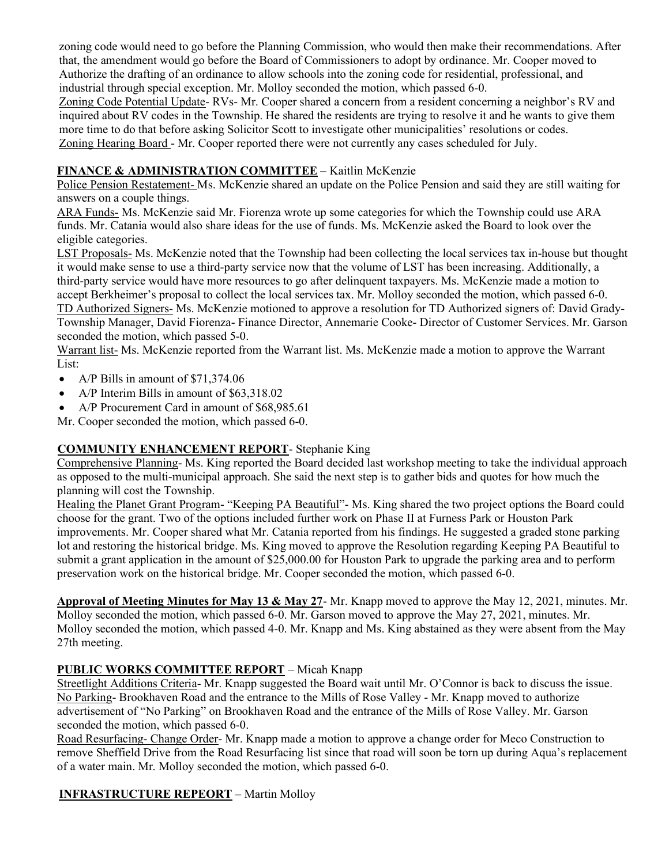zoning code would need to go before the Planning Commission, who would then make their recommendations. After that, the amendment would go before the Board of Commissioners to adopt by ordinance. Mr. Cooper moved to Authorize the drafting of an ordinance to allow schools into the zoning code for residential, professional, and industrial through special exception. Mr. Molloy seconded the motion, which passed 6-0.

Zoning Code Potential Update- RVs- Mr. Cooper shared a concern from a resident concerning a neighbor's RV and inquired about RV codes in the Township. He shared the residents are trying to resolve it and he wants to give them more time to do that before asking Solicitor Scott to investigate other municipalities' resolutions or codes. Zoning Hearing Board - Mr. Cooper reported there were not currently any cases scheduled for July.

#### FINANCE & ADMINISTRATION COMMITTEE - Kaitlin McKenzie

Police Pension Restatement- Ms. McKenzie shared an update on the Police Pension and said they are still waiting for answers on a couple things.

ARA Funds- Ms. McKenzie said Mr. Fiorenza wrote up some categories for which the Township could use ARA funds. Mr. Catania would also share ideas for the use of funds. Ms. McKenzie asked the Board to look over the eligible categories.

LST Proposals- Ms. McKenzie noted that the Township had been collecting the local services tax in-house but thought it would make sense to use a third-party service now that the volume of LST has been increasing. Additionally, a third-party service would have more resources to go after delinquent taxpayers. Ms. McKenzie made a motion to accept Berkheimer's proposal to collect the local services tax. Mr. Molloy seconded the motion, which passed 6-0. TD Authorized Signers- Ms. McKenzie motioned to approve a resolution for TD Authorized signers of: David Grady-Township Manager, David Fiorenza- Finance Director, Annemarie Cooke- Director of Customer Services. Mr. Garson seconded the motion, which passed 5-0.

Warrant list- Ms. McKenzie reported from the Warrant list. Ms. McKenzie made a motion to approve the Warrant List:

- A/P Bills in amount of \$71,374.06
- A/P Interim Bills in amount of \$63,318.02
- A/P Procurement Card in amount of \$68,985.61

Mr. Cooper seconded the motion, which passed 6-0.

## COMMUNITY ENHANCEMENT REPORT- Stephanie King

Comprehensive Planning- Ms. King reported the Board decided last workshop meeting to take the individual approach as opposed to the multi-municipal approach. She said the next step is to gather bids and quotes for how much the planning will cost the Township.

Healing the Planet Grant Program- "Keeping PA Beautiful"- Ms. King shared the two project options the Board could choose for the grant. Two of the options included further work on Phase II at Furness Park or Houston Park improvements. Mr. Cooper shared what Mr. Catania reported from his findings. He suggested a graded stone parking lot and restoring the historical bridge. Ms. King moved to approve the Resolution regarding Keeping PA Beautiful to submit a grant application in the amount of \$25,000.00 for Houston Park to upgrade the parking area and to perform preservation work on the historical bridge. Mr. Cooper seconded the motion, which passed 6-0.

Approval of Meeting Minutes for May 13 & May 27- Mr. Knapp moved to approve the May 12, 2021, minutes. Mr. Molloy seconded the motion, which passed 6-0. Mr. Garson moved to approve the May 27, 2021, minutes. Mr. Molloy seconded the motion, which passed 4-0. Mr. Knapp and Ms. King abstained as they were absent from the May 27th meeting.

## PUBLIC WORKS COMMITTEE REPORT – Micah Knapp

Streetlight Additions Criteria- Mr. Knapp suggested the Board wait until Mr. O'Connor is back to discuss the issue. No Parking- Brookhaven Road and the entrance to the Mills of Rose Valley - Mr. Knapp moved to authorize advertisement of "No Parking" on Brookhaven Road and the entrance of the Mills of Rose Valley. Mr. Garson seconded the motion, which passed 6-0.

Road Resurfacing- Change Order- Mr. Knapp made a motion to approve a change order for Meco Construction to remove Sheffield Drive from the Road Resurfacing list since that road will soon be torn up during Aqua's replacement of a water main. Mr. Molloy seconded the motion, which passed 6-0.

INFRASTRUCTURE REPEORT – Martin Molloy